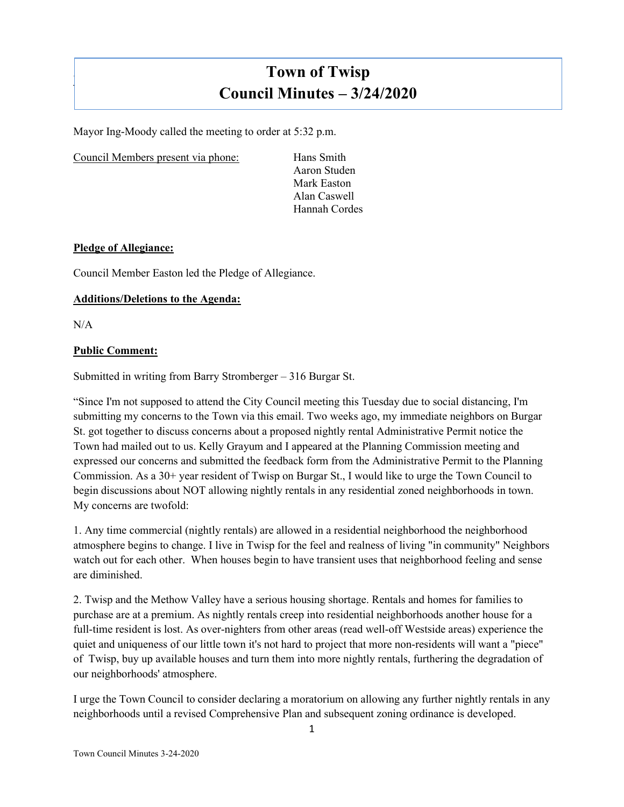# **Town of Twisp Council Minutes – 3/24/2020**

Mayor Ing-Moody called the meeting to order at 5:32 p.m.

Council Members present via phone: Hans Smith

Aaron Studen Mark Easton Alan Caswell Hannah Cordes

## **Pledge of Allegiance:**

Council Member Easton led the Pledge of Allegiance.

## **Additions/Deletions to the Agenda:**

N/A

]

## **Public Comment:**

Submitted in writing from Barry Stromberger – 316 Burgar St.

"Since I'm not supposed to attend the City Council meeting this Tuesday due to social distancing, I'm submitting my concerns to the Town via this email. Two weeks ago, my immediate neighbors on Burgar St. got together to discuss concerns about a proposed nightly rental Administrative Permit notice the Town had mailed out to us. Kelly Grayum and I appeared at the Planning Commission meeting and expressed our concerns and submitted the feedback form from the Administrative Permit to the Planning Commission. As a 30+ year resident of Twisp on Burgar St., I would like to urge the Town Council to begin discussions about NOT allowing nightly rentals in any residential zoned neighborhoods in town. My concerns are twofold:

1. Any time commercial (nightly rentals) are allowed in a residential neighborhood the neighborhood atmosphere begins to change. I live in Twisp for the feel and realness of living "in community" Neighbors watch out for each other. When houses begin to have transient uses that neighborhood feeling and sense are diminished.

2. Twisp and the Methow Valley have a serious housing shortage. Rentals and homes for families to purchase are at a premium. As nightly rentals creep into residential neighborhoods another house for a full-time resident is lost. As over-nighters from other areas (read well-off Westside areas) experience the quiet and uniqueness of our little town it's not hard to project that more non-residents will want a "piece" of Twisp, buy up available houses and turn them into more nightly rentals, furthering the degradation of our neighborhoods' atmosphere.

I urge the Town Council to consider declaring a moratorium on allowing any further nightly rentals in any neighborhoods until a revised Comprehensive Plan and subsequent zoning ordinance is developed.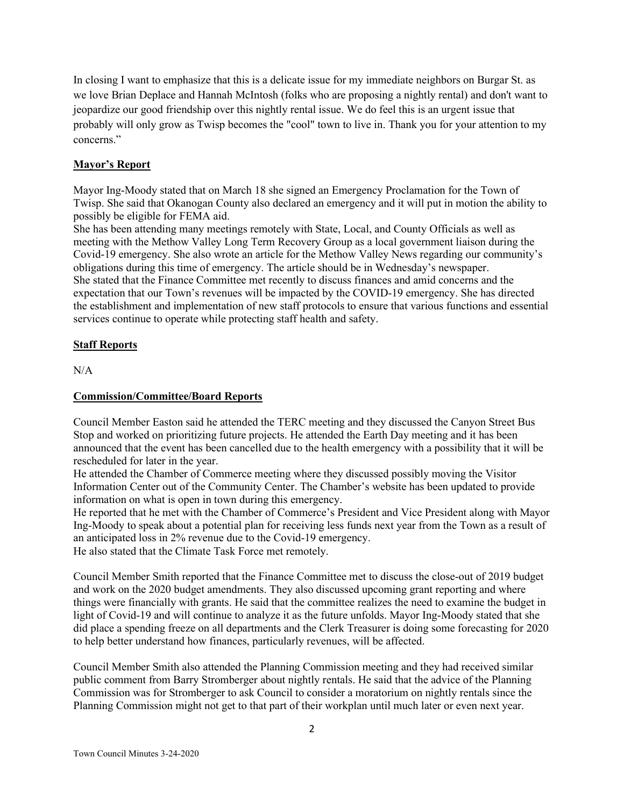In closing I want to emphasize that this is a delicate issue for my immediate neighbors on Burgar St. as we love Brian Deplace and Hannah McIntosh (folks who are proposing a nightly rental) and don't want to jeopardize our good friendship over this nightly rental issue. We do feel this is an urgent issue that probably will only grow as Twisp becomes the "cool" town to live in. Thank you for your attention to my concerns."

# **Mayor's Report**

Mayor Ing-Moody stated that on March 18 she signed an Emergency Proclamation for the Town of Twisp. She said that Okanogan County also declared an emergency and it will put in motion the ability to possibly be eligible for FEMA aid.

She has been attending many meetings remotely with State, Local, and County Officials as well as meeting with the Methow Valley Long Term Recovery Group as a local government liaison during the Covid-19 emergency. She also wrote an article for the Methow Valley News regarding our community's obligations during this time of emergency. The article should be in Wednesday's newspaper. She stated that the Finance Committee met recently to discuss finances and amid concerns and the expectation that our Town's revenues will be impacted by the COVID-19 emergency. She has directed the establishment and implementation of new staff protocols to ensure that various functions and essential services continue to operate while protecting staff health and safety.

## **Staff Reports**

N/A

#### **Commission/Committee/Board Reports**

Council Member Easton said he attended the TERC meeting and they discussed the Canyon Street Bus Stop and worked on prioritizing future projects. He attended the Earth Day meeting and it has been announced that the event has been cancelled due to the health emergency with a possibility that it will be rescheduled for later in the year.

He attended the Chamber of Commerce meeting where they discussed possibly moving the Visitor Information Center out of the Community Center. The Chamber's website has been updated to provide information on what is open in town during this emergency.

He reported that he met with the Chamber of Commerce's President and Vice President along with Mayor Ing-Moody to speak about a potential plan for receiving less funds next year from the Town as a result of an anticipated loss in 2% revenue due to the Covid-19 emergency. He also stated that the Climate Task Force met remotely.

Council Member Smith reported that the Finance Committee met to discuss the close-out of 2019 budget and work on the 2020 budget amendments. They also discussed upcoming grant reporting and where things were financially with grants. He said that the committee realizes the need to examine the budget in light of Covid-19 and will continue to analyze it as the future unfolds. Mayor Ing-Moody stated that she did place a spending freeze on all departments and the Clerk Treasurer is doing some forecasting for 2020 to help better understand how finances, particularly revenues, will be affected.

Council Member Smith also attended the Planning Commission meeting and they had received similar public comment from Barry Stromberger about nightly rentals. He said that the advice of the Planning Commission was for Stromberger to ask Council to consider a moratorium on nightly rentals since the Planning Commission might not get to that part of their workplan until much later or even next year.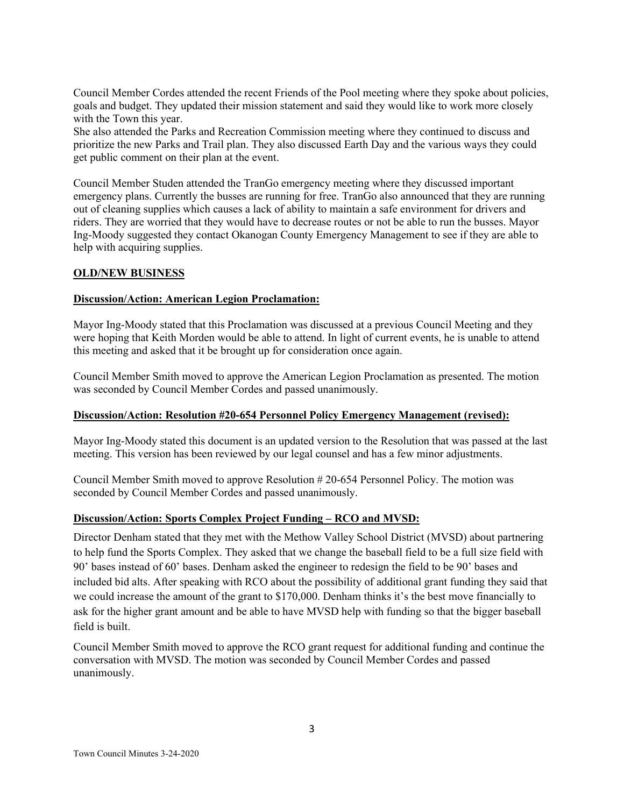Council Member Cordes attended the recent Friends of the Pool meeting where they spoke about policies, goals and budget. They updated their mission statement and said they would like to work more closely with the Town this year.

She also attended the Parks and Recreation Commission meeting where they continued to discuss and prioritize the new Parks and Trail plan. They also discussed Earth Day and the various ways they could get public comment on their plan at the event.

Council Member Studen attended the TranGo emergency meeting where they discussed important emergency plans. Currently the busses are running for free. TranGo also announced that they are running out of cleaning supplies which causes a lack of ability to maintain a safe environment for drivers and riders. They are worried that they would have to decrease routes or not be able to run the busses. Mayor Ing-Moody suggested they contact Okanogan County Emergency Management to see if they are able to help with acquiring supplies.

#### **OLD/NEW BUSINESS**

#### **Discussion/Action: American Legion Proclamation:**

Mayor Ing-Moody stated that this Proclamation was discussed at a previous Council Meeting and they were hoping that Keith Morden would be able to attend. In light of current events, he is unable to attend this meeting and asked that it be brought up for consideration once again.

Council Member Smith moved to approve the American Legion Proclamation as presented. The motion was seconded by Council Member Cordes and passed unanimously.

#### **Discussion/Action: Resolution #20-654 Personnel Policy Emergency Management (revised):**

Mayor Ing-Moody stated this document is an updated version to the Resolution that was passed at the last meeting. This version has been reviewed by our legal counsel and has a few minor adjustments.

Council Member Smith moved to approve Resolution # 20-654 Personnel Policy. The motion was seconded by Council Member Cordes and passed unanimously.

#### **Discussion/Action: Sports Complex Project Funding – RCO and MVSD:**

Director Denham stated that they met with the Methow Valley School District (MVSD) about partnering to help fund the Sports Complex. They asked that we change the baseball field to be a full size field with 90' bases instead of 60' bases. Denham asked the engineer to redesign the field to be 90' bases and included bid alts. After speaking with RCO about the possibility of additional grant funding they said that we could increase the amount of the grant to \$170,000. Denham thinks it's the best move financially to ask for the higher grant amount and be able to have MVSD help with funding so that the bigger baseball field is built.

Council Member Smith moved to approve the RCO grant request for additional funding and continue the conversation with MVSD. The motion was seconded by Council Member Cordes and passed unanimously.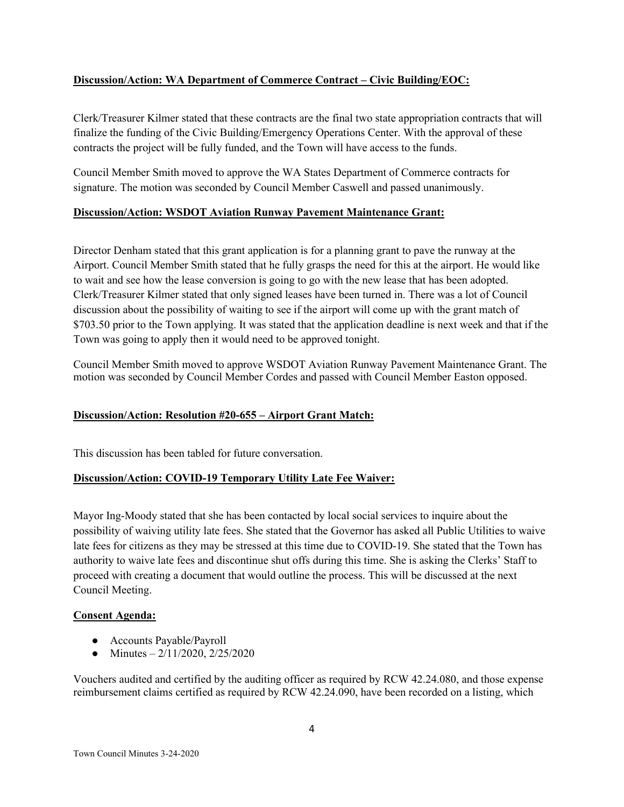# **Discussion/Action: WA Department of Commerce Contract – Civic Building/EOC:**

Clerk/Treasurer Kilmer stated that these contracts are the final two state appropriation contracts that will finalize the funding of the Civic Building/Emergency Operations Center. With the approval of these contracts the project will be fully funded, and the Town will have access to the funds.

Council Member Smith moved to approve the WA States Department of Commerce contracts for signature. The motion was seconded by Council Member Caswell and passed unanimously.

## **Discussion/Action: WSDOT Aviation Runway Pavement Maintenance Grant:**

Director Denham stated that this grant application is for a planning grant to pave the runway at the Airport. Council Member Smith stated that he fully grasps the need for this at the airport. He would like to wait and see how the lease conversion is going to go with the new lease that has been adopted. Clerk/Treasurer Kilmer stated that only signed leases have been turned in. There was a lot of Council discussion about the possibility of waiting to see if the airport will come up with the grant match of \$703.50 prior to the Town applying. It was stated that the application deadline is next week and that if the Town was going to apply then it would need to be approved tonight.

Council Member Smith moved to approve WSDOT Aviation Runway Pavement Maintenance Grant. The motion was seconded by Council Member Cordes and passed with Council Member Easton opposed.

# **Discussion/Action: Resolution #20-655 – Airport Grant Match:**

This discussion has been tabled for future conversation.

#### **Discussion/Action: COVID-19 Temporary Utility Late Fee Waiver:**

Mayor Ing-Moody stated that she has been contacted by local social services to inquire about the possibility of waiving utility late fees. She stated that the Governor has asked all Public Utilities to waive late fees for citizens as they may be stressed at this time due to COVID-19. She stated that the Town has authority to waive late fees and discontinue shut offs during this time. She is asking the Clerks' Staff to proceed with creating a document that would outline the process. This will be discussed at the next Council Meeting.

#### **Consent Agenda:**

- Accounts Payable/Payroll
- Minutes  $-2/11/2020$ ,  $2/25/2020$

Vouchers audited and certified by the auditing officer as required by RCW 42.24.080, and those expense reimbursement claims certified as required by RCW 42.24.090, have been recorded on a listing, which